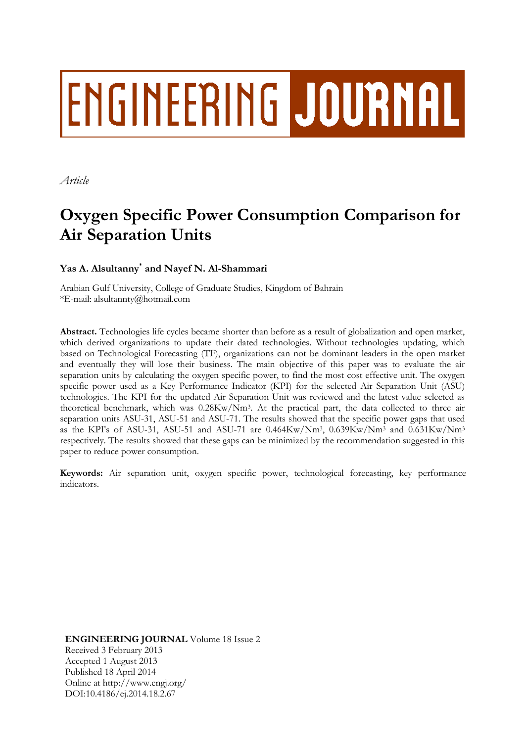# ENGINEERING JOURNAL

*Article*

# **Oxygen Specific Power Consumption Comparison for Air Separation Units**

**Yas A. Alsultanny\* and Nayef N. Al-Shammari**

Arabian Gulf University, College of Graduate Studies, Kingdom of Bahrain \*E-mail: alsultannty@hotmail.com

**Abstract.** Technologies life cycles became shorter than before as a result of globalization and open market, which derived organizations to update their dated technologies. Without technologies updating, which based on Technological Forecasting (TF), organizations can not be dominant leaders in the open market and eventually they will lose their business. The main objective of this paper was to evaluate the air separation units by calculating the oxygen specific power, to find the most cost effective unit. The oxygen specific power used as a Key Performance Indicator (KPI) for the selected Air Separation Unit (ASU) technologies. The KPI for the updated Air Separation Unit was reviewed and the latest value selected as theoretical benchmark, which was 0.28Kw/Nm<sup>3</sup> . At the practical part, the data collected to three air separation units ASU-31, ASU-51 and ASU-71. The results showed that the specific power gaps that used as the KPI's of ASU-31, ASU-51 and ASU-71 are 0.464Kw/Nm<sup>3</sup> , 0.639Kw/Nm<sup>3</sup> and 0.631Kw/Nm<sup>3</sup> respectively. The results showed that these gaps can be minimized by the recommendation suggested in this paper to reduce power consumption.

**Keywords:** Air separation unit, oxygen specific power, technological forecasting, key performance indicators.

**ENGINEERING JOURNAL** Volume 18 Issue 2 Received 3 February 2013 Accepted 1 August 2013 Published 18 April 2014 Online at http://www.engj.org/ DOI:10.4186/ej.2014.18.2.67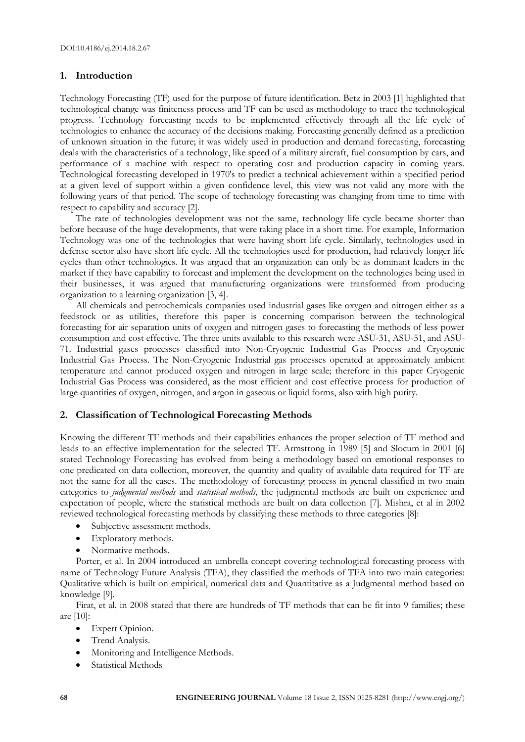# **1. Introduction**

Technology Forecasting (TF) used for the purpose of future identification. Betz in 2003 [1] highlighted that technological change was finiteness process and TF can be used as methodology to trace the technological progress. Technology forecasting needs to be implemented effectively through all the life cycle of technologies to enhance the accuracy of the decisions making. Forecasting generally defined as a prediction of unknown situation in the future; it was widely used in production and demand forecasting, forecasting deals with the characteristics of a technology, like speed of a military aircraft, fuel consumption by cars, and performance of a machine with respect to operating cost and production capacity in coming years. Technological forecasting developed in 1970's to predict a technical achievement within a specified period at a given level of support within a given confidence level, this view was not valid any more with the following years of that period. The scope of technology forecasting was changing from time to time with respect to capability and accuracy [2].

The rate of technologies development was not the same, technology life cycle became shorter than before because of the huge developments, that were taking place in a short time. For example, Information Technology was one of the technologies that were having short life cycle. Similarly, technologies used in defense sector also have short life cycle. All the technologies used for production, had relatively longer life cycles than other technologies. It was argued that an organization can only be as dominant leaders in the market if they have capability to forecast and implement the development on the technologies being used in their businesses, it was argued that manufacturing organizations were transformed from producing organization to a learning organization [3, 4].

All chemicals and petrochemicals companies used industrial gases like oxygen and nitrogen either as a feedstock or as utilities, therefore this paper is concerning comparison between the technological forecasting for air separation units of oxygen and nitrogen gases to forecasting the methods of less power consumption and cost effective. The three units available to this research were ASU-31, ASU-51, and ASU-71. Industrial gases processes classified into Non-Cryogenic Industrial Gas Process and Cryogenic Industrial Gas Process. The Non-Cryogenic Industrial gas processes operated at approximately ambient temperature and cannot produced oxygen and nitrogen in large scale; therefore in this paper Cryogenic Industrial Gas Process was considered, as the most efficient and cost effective process for production of large quantities of oxygen, nitrogen, and argon in gaseous or liquid forms, also with high purity.

# **2. Classification of Technological Forecasting Methods**

Knowing the different TF methods and their capabilities enhances the proper selection of TF method and leads to an effective implementation for the selected TF. Armstrong in 1989 [5] and Slocum in 2001 [6] stated Technology Forecasting has evolved from being a methodology based on emotional responses to one predicated on data collection, moreover, the quantity and quality of available data required for TF are not the same for all the cases. The methodology of forecasting process in general classified in two main categories to *judgmental methods* and *statistical methods*, the judgmental methods are built on experience and expectation of people, where the statistical methods are built on data collection [7]. Mishra, et al in 2002 reviewed technological forecasting methods by classifying these methods to three categories [8]:

- Subjective assessment methods.
- Exploratory methods.
- Normative methods.

Porter, et al. In 2004 introduced an umbrella concept covering technological forecasting process with name of Technology Future Analysis (TFA), they classified the methods of TFA into two main categories: Qualitative which is built on empirical, numerical data and Quantitative as a Judgmental method based on knowledge [9].

Firat, et al. in 2008 stated that there are hundreds of TF methods that can be fit into 9 families; these are [10]:

- Expert Opinion.
- Trend Analysis.
- Monitoring and Intelligence Methods.
- Statistical Methods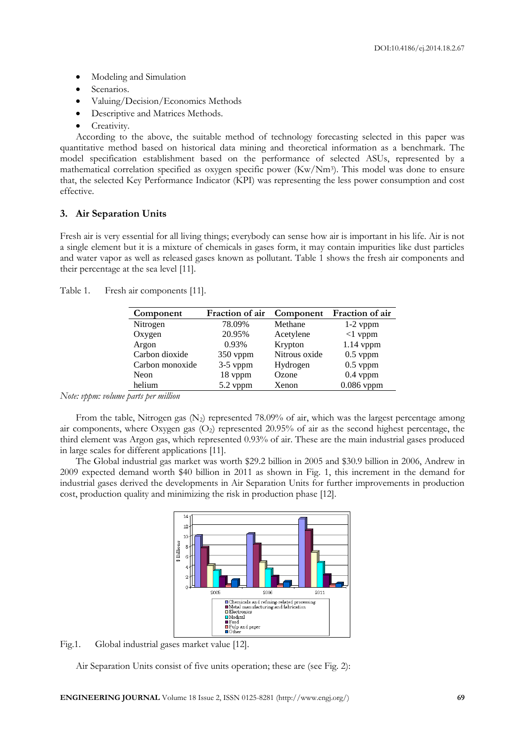- Modeling and Simulation
- Scenarios.
- Valuing/Decision/Economics Methods
- Descriptive and Matrices Methods.
- Creativity.

According to the above, the suitable method of technology forecasting selected in this paper was quantitative method based on historical data mining and theoretical information as a benchmark. The model specification establishment based on the performance of selected ASUs, represented by a mathematical correlation specified as oxygen specific power (Kw/Nm<sup>3</sup>). This model was done to ensure that, the selected Key Performance Indicator (KPI) was representing the less power consumption and cost effective.

# **3. Air Separation Units**

Fresh air is very essential for all living things; everybody can sense how air is important in his life. Air is not a single element but it is a mixture of chemicals in gases form, it may contain impurities like dust particles and water vapor as well as released gases known as pollutant. Table 1 shows the fresh air components and their percentage at the sea level [11].

| Component       | Fraction of air | Component     | Fraction of air |
|-----------------|-----------------|---------------|-----------------|
| Nitrogen        | 78.09%          | Methane       | $1-2$ vppm      |
| Oxygen          | 20.95%          | Acetylene     | $<1$ vppm       |
| Argon           | 0.93%           | Krypton       | $1.14$ vppm     |
| Carbon dioxide  | 350 vppm        | Nitrous oxide | $0.5$ vppm      |
| Carbon monoxide | $3-5$ vppm      | Hydrogen      | $0.5$ vppm      |
| Neon            | 18 vppm         | Ozone         | $0.4$ vppm      |
| helium          | 5.2 vppm        | Xenon         | $0.086$ vppm    |

Table 1. Fresh air components [11].

*Note: vppm: volume parts per million*

From the table, Nitrogen gas  $(N_2)$  represented 78.09% of air, which was the largest percentage among air components, where Oxygen gas (O<sub>2</sub>) represented 20.95% of air as the second highest percentage, the third element was Argon gas, which represented 0.93% of air. These are the main industrial gases produced in large scales for different applications [11].

The Global industrial gas market was worth \$29.2 billion in 2005 and \$30.9 billion in 2006, Andrew in 2009 expected demand worth \$40 billion in 2011 as shown in Fig. 1, this increment in the demand for industrial gases derived the developments in Air Separation Units for further improvements in production cost, production quality and minimizing the risk in production phase [12].



Fig.1. Global industrial gases market value [12].

Air Separation Units consist of five units operation; these are (see Fig. 2):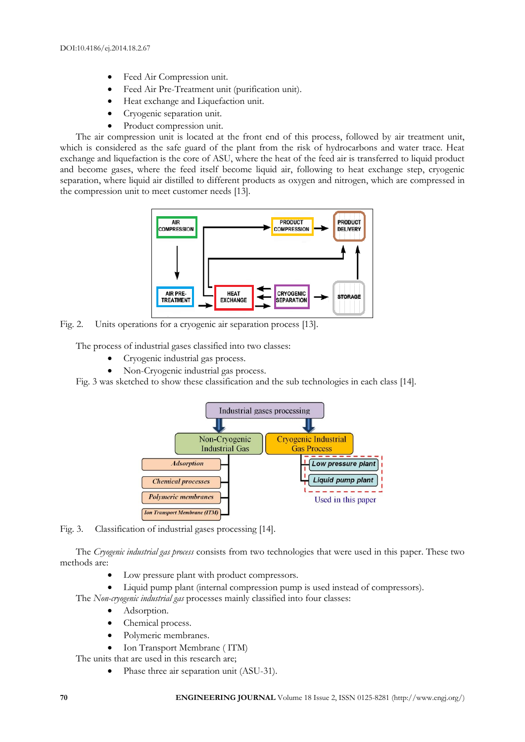- Feed Air Compression unit.
- Feed Air Pre-Treatment unit (purification unit).
- Heat exchange and Liquefaction unit.
- Cryogenic separation unit.
- Product compression unit.

The air compression unit is located at the front end of this process, followed by air treatment unit, which is considered as the safe guard of the plant from the risk of hydrocarbons and water trace. Heat exchange and liquefaction is the core of ASU, where the heat of the feed air is transferred to liquid product and become gases, where the feed itself become liquid air, following to heat exchange step, cryogenic separation, where liquid air distilled to different products as oxygen and nitrogen, which are compressed in the compression unit to meet customer needs [13].



Fig. 2. Units operations for a cryogenic air separation process [13].

The process of industrial gases classified into two classes:

- Cryogenic industrial gas process.
- Non-Cryogenic industrial gas process.

Fig. 3 was sketched to show these classification and the sub technologies in each class [14].





The *Cryogenic industrial gas process* consists from two technologies that were used in this paper. These two methods are:

Low pressure plant with product compressors.

Liquid pump plant (internal compression pump is used instead of compressors).

- The *Non-cryogenic industrial gas* processes mainly classified into four classes:
	- Adsorption.
	- Chemical process.
	- Polymeric membranes.
	- Ion Transport Membrane ( ITM)

The units that are used in this research are;

Phase three air separation unit (ASU-31).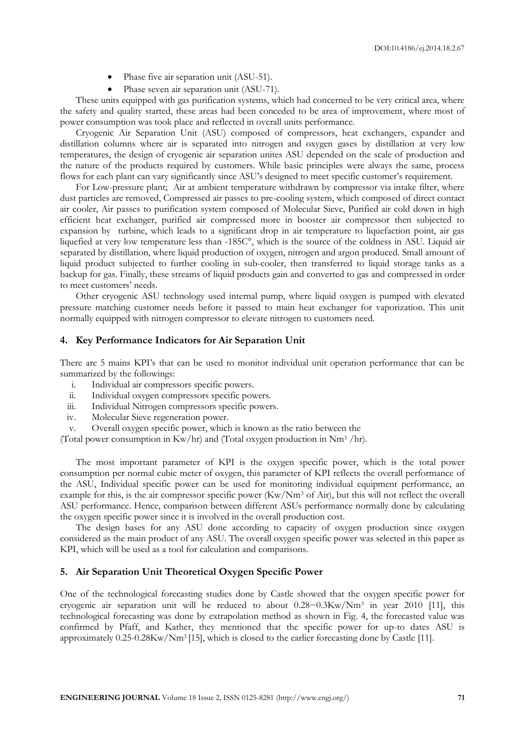- Phase five air separation unit (ASU-51).
- Phase seven air separation unit (ASU-71).

These units equipped with gas purification systems, which had concerned to be very critical area, where the safety and quality started, these areas had been conceded to be area of improvement, where most of power consumption was took place and reflected in overall units performance.

Cryogenic Air Separation Unit (ASU) composed of compressors, heat exchangers, expander and distillation columns where air is separated into nitrogen and oxygen gases by distillation at very low temperatures, the design of cryogenic air separation unites ASU depended on the scale of production and the nature of the products required by customers. While basic principles were always the same, process flows for each plant can vary significantly since ASU's designed to meet specific customer's requirement.

For Low-pressure plant; Air at ambient temperature withdrawn by compressor via intake filter, where dust particles are removed, Compressed air passes to pre-cooling system, which composed of direct contact air cooler, Air passes to purification system composed of Molecular Sieve, Purified air cold down in high efficient heat exchanger, purified air compressed more in booster air compressor then subjected to expansion by turbine, which leads to a significant drop in air temperature to liquefaction point, air gas liquefied at very low temperature less than -185C°, which is the source of the coldness in ASU. Liquid air separated by distillation, where liquid production of oxygen, nitrogen and argon produced. Small amount of liquid product subjected to further cooling in sub-cooler, then transferred to liquid storage tanks as a backup for gas. Finally, these streams of liquid products gain and converted to gas and compressed in order to meet customers' needs.

Other cryogenic ASU technology used internal pump, where liquid oxygen is pumped with elevated pressure matching customer needs before it passed to main heat exchanger for vaporization. This unit normally equipped with nitrogen compressor to elevate nitrogen to customers need.

#### **4. Key Performance Indicators for Air Separation Unit**

There are 5 mains KPI's that can be used to monitor individual unit operation performance that can be summarized by the followings:

- i. Individual air compressors specific powers.
- ii. Individual oxygen compressors specific powers.
- iii. Individual Nitrogen compressors specific powers.
- iv. Molecular Sieve regeneration power.

v. Overall oxygen specific power, which is known as the ratio between the

(Total power consumption in Kw/hr) and (Total oxygen production in Nm<sup>3</sup> /hr).

The most important parameter of KPI is the oxygen specific power, which is the total power consumption per normal cubic meter of oxygen, this parameter of KPI reflects the overall performance of the ASU, Individual specific power can be used for monitoring individual equipment performance, an example for this, is the air compressor specific power (Kw/Nm<sup>3</sup> of Air), but this will not reflect the overall ASU performance. Hence, comparison between different ASUs performance normally done by calculating the oxygen specific power since it is involved in the overall production cost.

The design bases for any ASU done according to capacity of oxygen production since oxygen considered as the main product of any ASU. The overall oxygen specific power was selected in this paper as KPI, which will be used as a tool for calculation and comparisons.

#### **5. Air Separation Unit Theoretical Oxygen Specific Power**

One of the technological forecasting studies done by Castle showed that the oxygen specific power for cryogenic air separation unit will be reduced to about 0.28~0.3Kw/Nm<sup>3</sup> in year 2010 [11], this technological forecasting was done by extrapolation method as shown in Fig. 4, the forecasted value was confirmed by Pfaff, and Kather, they mentioned that the specific power for up-to dates ASU is approximately 0.25-0.28Kw/Nm<sup>3</sup> [15], which is closed to the earlier forecasting done by Castle [11].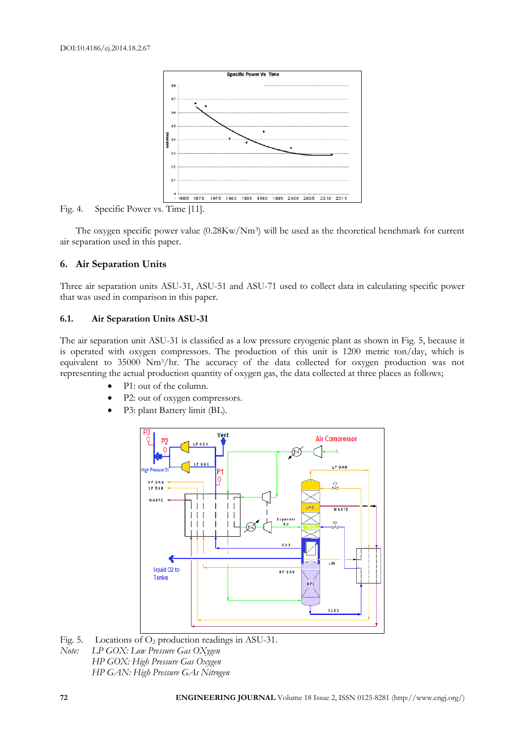

Fig. 4. Specific Power vs. Time [11].

The oxygen specific power value (0.28Kw/Nm<sup>3</sup>) will be used as the theoretical benchmark for current air separation used in this paper.

## **6. Air Separation Units**

Three air separation units ASU-31, ASU-51 and ASU-71 used to collect data in calculating specific power that was used in comparison in this paper.

#### **6.1. Air Separation Units ASU-31**

The air separation unit ASU-31 is classified as a low pressure cryogenic plant as shown in Fig. 5, because it is operated with oxygen compressors. The production of this unit is 1200 metric ton/day, which is equivalent to 35000 Nm3/hr. The accuracy of the data collected for oxygen production was not representing the actual production quantity of oxygen gas, the data collected at three places as follows;

- P1: out of the column.
- P2: out of oxygen compressors.
- P3: plant Battery limit (BL).



Fig. 5. Locations of  $O_2$  production readings in ASU-31. *Note: LP GOX: Low Pressure Gas OXygen HP GOX: High Pressure Gas Oxygen HP GAN: High Pressure GAs Nitrogen*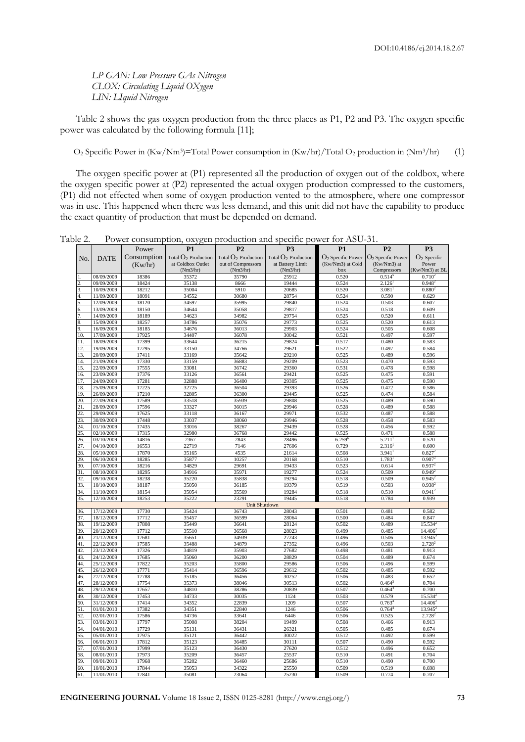*LP GAN: Low Pressure GAs Nitrogen CLOX: Circulating Liquid OXygen LIN: LIquid Nitrogen*

Table 2 shows the gas oxygen production from the three places as P1, P2 and P3. The oxygen specific power was calculated by the following formula [11];

O<sub>2</sub> Specific Power in (Kw/Nm<sup>3</sup>)=Total Power consumption in (Kw/hr)/Total O<sub>2</sub> production in (Nm<sup>3</sup>/hr) (1)

The oxygen specific power at (P1) represented all the production of oxygen out of the coldbox, where the oxygen specific power at (P2) represented the actual oxygen production compressed to the customers, (P1) did not effected when some of oxygen production vented to the atmosphere, where one compressor was in use. This happened when there was less demand, and this unit did not have the capability to produce the exact quantity of production that must be depended on demand.

|            |                          |                | ,<br>ັ້<br>---         | ,                      |                        | , , , , <del>,</del> , |                                           |                             |
|------------|--------------------------|----------------|------------------------|------------------------|------------------------|------------------------|-------------------------------------------|-----------------------------|
|            |                          | Power          | P1                     | P <sub>2</sub>         | P <sub>3</sub>         | <b>P1</b>              | P <sub>2</sub>                            | P <sub>3</sub>              |
| No.        | <b>DATE</b>              | Consumption    | Total $O_2$ Production | Total $O_2$ Production | Total $O_2$ Production |                        | $O_2$ Specific Power $O_2$ Specific Power | $O_2$ Specific              |
|            |                          | (Kw/hr)        | at Coldbox Outlet      | out of Compressors     | at Battery Limit       | (Kw/Nm3) at Cold       | (Kw/Nm3) at                               | Power                       |
|            |                          |                | (Nm3/hr)               | (Nm3/hr)               | (Nm3/hr)               | box                    | Compressors                               | (Kw/Nm3) at BL              |
|            | 08/09/2009               | 18386          | 35372                  | 35790                  | 25912                  | 0.520                  | $0.514^{5}$                               | 0.710 <sup>2</sup>          |
|            | 09/09/2009               | 18424          | 35138                  | 8666                   | 19444                  | 0.524                  | 2.126                                     | $0.948$ <sup>2</sup>        |
| 3.<br>4.   | 10/09/2009               | 18212<br>18091 | 35004                  | 5910<br>30680          | 20685                  | 0.520                  | 3.081                                     | 0.880 <sup>2</sup><br>0.629 |
| 5.         | 11/09/2009<br>12/09/2009 | 18120          | 34552<br>34597         | 35995                  | 28754<br>29840         | 0.524<br>0.524         | 0.590<br>0.503                            | 0.607                       |
| 6          | 13/09/2009               | 18150          | 34644                  | 35058                  | 29817                  | 0.524                  | 0.518                                     | 0.609                       |
|            | 14/09/2009               | 18189          | 34623                  | 34982                  | 29754                  | 0.525                  | 0.520                                     | 0.611                       |
|            | 15/09/2009               | 18257          | 34786                  | 35076                  | 29773                  | 0.525                  | 0.520                                     | 0.613                       |
| 9          | 16/09/2009               | 18185          | 34676                  | 36013                  | 29903                  | 0.524                  | 0.505                                     | 0.608                       |
| 10.        | 17/09/2009               | 17925          | 34407                  | 36078                  | 30042                  | 0.521                  | 0.497                                     | 0.597                       |
| 11         | 18/09/2009               | 17399          | 33644                  | 36215                  | 29824                  | 0.517                  | 0.480                                     | 0.583                       |
| 12.        | 19/09/2009               | 17295          | 33150                  | 34766                  | 29621                  | 0.522                  | 0.497                                     | 0.584                       |
| 13.        | 20/09/2009               | 17411          | 33169                  | 35642                  | 29210                  | 0.525                  | 0.489                                     | 0.596                       |
| 14.        | 21/09/2009               | 17330          | 33159                  | 36883                  | 29209                  | 0.523                  | 0.470                                     | 0.593                       |
| 15.        | 22/09/2009               | 17555          | 33081                  | 36742                  | 29360                  | 0.531                  | 0.478                                     | 0.598                       |
| 16.        | 23/09/2009               | 17376          | 33126                  | 36561                  | 29421                  | 0.525                  | 0.475                                     | 0.591                       |
| 17.        | 24/09/2009               | 17281          | 32888                  | 36400                  | 29305                  | 0.525                  | 0.475                                     | 0.590                       |
| 18.<br>19. | 25/09/2009<br>26/09/2009 | 17225<br>17210 | 32725<br>32805         | 36504<br>36300         | 29393<br>29445         | 0.526<br>0.525         | 0.472<br>0.474                            | 0.586<br>0.584              |
| 20.        | 27/09/2009               | 17589          | 33518                  | 35939                  | 29808                  | 0.525                  | 0.489                                     | 0.590                       |
| 21.        | 28/09/2009               | 17596          | 33327                  | 36015                  | 29946                  | 0.528                  | 0.489                                     | 0.588                       |
| 22         | 29/09/2009               | 17625          | 33118                  | 36167                  | 29971                  | 0.532                  | 0.487                                     | 0.588                       |
| 23.        | 30/09/2009               | 17448          | 33037                  | 38060                  | 29946                  | 0.528                  | 0.458                                     | 0.583                       |
| 24.        | 01/10/2009               | 17435          | 33016                  | 38267                  | 29439                  | 0.528                  | 0.456                                     | 0.592                       |
| 25         | 02/10/2009               | 17315          | 32980                  | 36768                  | 29442                  | 0.525                  | 0.471                                     | 0.588                       |
| 26.        | 03/10/2009               | 14816          | 2367                   | 2843                   | 28496                  | $6.259$ <sup>e</sup>   | 5.211                                     | 0.520                       |
| 27.        | 04/10/2009               | 16553          | 22719                  | 7146                   | 27606                  | 0.729                  | 2.316                                     | 0.600                       |
| 28.        | 05/10/2009               | 17870          | 35165                  | 4535                   | 21614                  | 0.508                  | 3.941                                     | 0.827                       |
| 29.        | 06/10/2009               | 18285          | 35877                  | 10257                  | 20168                  | 0.510                  | 1.783                                     | 0.907                       |
| 30.        | 07/10/2009               | 18216          | 34829                  | 29691                  | 19433                  | 0.523                  | 0.614                                     | 0.937                       |
| 31.        | 08/10/2009               | 18295          | 34916                  | 35971                  | 19277                  | 0.524                  | 0.509                                     | 0.949                       |
| 32<br>33.  | 09/10/2009               | 18238          | 35220<br>35050         | 35838<br>36185         | 19294<br>19379         | 0.518<br>0.519         | 0.509<br>0.503                            | 0.945<br>0.938              |
| 34         | 10/10/2009<br>11/10/2009 | 18187<br>18154 | 35054                  | 35569                  | 19284                  | 0.518                  | 0.510                                     | $0.941^{2}$                 |
| 35.        | 12/10/2009               | 18253          | 35222                  | 23291                  | 19445                  | 0.518                  | 0.784                                     | 0.939                       |
|            |                          |                |                        | <b>Unit Shutdown</b>   |                        |                        |                                           |                             |
| 36.        | 17/12/2009               | 17730          | 35424                  | 36743                  | 28043                  | 0.501                  | 0.481                                     | 0.582                       |
| 37.        | 18/12/2009               | 17712          | 35457                  | 36599                  | 28064                  | 0.500                  | 0.484                                     | 0.847                       |
| 38.        | 19/12/2009               | 17808          | 35449                  | 36641                  | 28124                  | 0.502                  | 0.489                                     | 15.534                      |
| 39.        | 20/12/2009               | 17712          | 35510                  | 36568                  | 28023                  | 0.499                  | 0.485                                     | 14.406                      |
| 40.        | 21/12/2009               | 17681          | 35651                  | 34939                  | 27243                  | 0.496                  | 0.506                                     | 13.945                      |
| 41.        | 22/12/2009               | 17585          | 35488                  | 34879                  | 27352                  | 0.496                  | 0.503                                     | $2.728^{2}$                 |
| 42.        | 23/12/2009               | 17326          | 34819                  | 35903                  | 27682                  | 0.498                  | 0.481                                     | 0.913                       |
| 43.        | 24/12/2009               | 17685          | 35060                  | 36200                  | 28829                  | 0.504                  | 0.489                                     | 0.674                       |
| 44.        | 25/12/2009               | 17822          | 35203                  | 35800                  | 29586                  | 0.506                  | 0.496                                     | 0.599                       |
| 45.<br>46. | 26/12/2009<br>27/12/2009 | 17771<br>17788 | 35414<br>35185         | 36596<br>36456         | 29612<br>30252         | 0.502<br>0.506         | 0.485<br>0.483                            | 0.592<br>0.652              |
| 47.        | 28/12/2009               | 17754          | 35373                  | 38046                  | 30513                  | 0.502                  | 0.464                                     | 0.704                       |
| 48.        | 29/12/2009               | 17657          | 34810                  | 38286                  | 20839                  | 0.507                  | 0.464                                     | 0.700                       |
| 49         | 30/12/2009               | 17453          | 34733                  | 30035                  | 1124                   | 0.503                  | 0.579                                     | 15.534                      |
| 50.        | 31/12/2009               | 17414          | 34352                  | 22839                  | 1209                   | 0.507                  | 0.763                                     | 14.406                      |
| 51         | 01/01/2010               | 17382          | 34351                  | 22840                  | 1246                   | 0.506                  | 0.764                                     | 13.945                      |
| 52         | 02/01/2010               | 17586          | 34736                  | 33641                  | 6446                   | 0.506                  | 0.525                                     | $2.728^{2}$                 |
| 53.        | 03/01/2010               | 17797          | 35008                  | 38204                  | 19499                  | 0.508                  | 0.466                                     | 0.913                       |
| 54.        | 04/01/2010               | 17729          | 35131                  | 36431                  | 26321                  | 0.505                  | 0.485                                     | 0.674                       |
| 55.        | 05/01/2010               | 17975          | 35121                  | 36442                  | 30022                  | 0.512                  | 0.492                                     | 0.599                       |
| 56         | 06/01/2010               | 17812          | 35123                  | 36485                  | 30111                  | 0.507                  | 0.490                                     | 0.592                       |
| 57.        | 07/01/2010               | 17999          | 35123                  | 36430                  | 27620                  | 0.512                  | 0.496                                     | 0.652                       |
| 58.        | 08/01/2010               | 17973          | 35209                  | 36457                  | 25537                  | 0.510                  | 0.491                                     | 0.704                       |
| 59.        | 09/01/2010               | 17968          | 35202                  | 36460                  | 25686                  | 0.510                  | 0.490                                     | 0.700                       |
| 60.<br>61. | 10/01/2010<br>11/01/2010 | 17844<br>17841 | 35053<br>35081         | 34322<br>23064         | 25550<br>25230         | 0.509<br>0.509         | 0.519<br>0.774                            | 0.698<br>0.707              |
|            |                          |                |                        |                        |                        |                        |                                           |                             |

Table 2. Power consumption, oxygen production and specific power for ASU-31.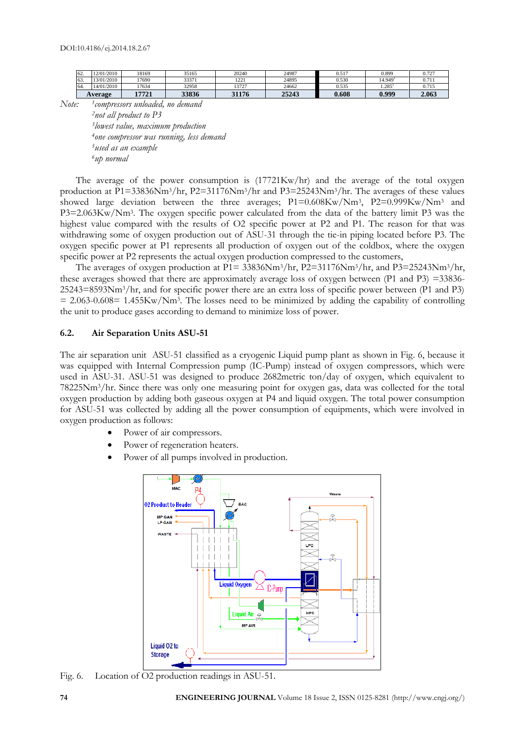|     | <b>Average</b> | 17721 | 33836 | 31176        | 25243 | 0.608 | 0.999   | 2.063 |
|-----|----------------|-------|-------|--------------|-------|-------|---------|-------|
| 64. | 14/01/2010     | 17634 | 32958 | 13727        | 24662 | 0.535 | .285    | 0.715 |
| 63. | 3/01/2010      | 17690 | 33371 | 1221<br>1441 | 24895 | J.530 | 14.949' | 0.711 |
| 62. | 201/2010       | 18169 | 35165 | 20240        | 24987 | 0.517 | 0.899   | 0.725 |

*Note: <sup>1</sup> compressors unloaded, no demand*

*not all product to P3 lowest value, maximum production one compressor was running, less demand used as an example <sup>6</sup>up normal*

The average of the power consumption is (17721Kw/hr) and the average of the total oxygen production at P1=33836Nm3/hr, P2=31176Nm3/hr and P3=25243Nm3/hr. The averages of these values showed large deviation between the three averages; P1=0.608Kw/Nm<sup>3</sup>, P2=0.999Kw/Nm<sup>3</sup> and P3=2.063Kw/Nm<sup>3</sup> . The oxygen specific power calculated from the data of the battery limit P3 was the highest value compared with the results of O2 specific power at P2 and P1. The reason for that was withdrawing some of oxygen production out of ASU-31 through the tie-in piping located before P3. The oxygen specific power at P1 represents all production of oxygen out of the coldbox, where the oxygen specific power at P2 represents the actual oxygen production compressed to the customers,

The averages of oxygen production at P1= 33836Nm3/hr, P2=31176Nm3/hr, and P3=25243Nm3/hr, these averages showed that there are approximately average loss of oxygen between (P1 and P3) =33836- 25243=8593Nm3/hr, and for specific power there are an extra loss of specific power between (P1 and P3)  $= 2.063 - 0.608 = 1.455Kw/Nm<sup>3</sup>$ . The losses need to be minimized by adding the capability of controlling the unit to produce gases according to demand to minimize loss of power.

#### **6.2. Air Separation Units ASU-51**

The air separation unit ASU-51 classified as a cryogenic Liquid pump plant as shown in Fig. 6, because it was equipped with Internal Compression pump (IC-Pump) instead of oxygen compressors, which were used in ASU-31. ASU-51 was designed to produce 2682metric ton/day of oxygen, which equivalent to 78225Nm3/hr. Since there was only one measuring point for oxygen gas, data was collected for the total oxygen production by adding both gaseous oxygen at P4 and liquid oxygen. The total power consumption for ASU-51 was collected by adding all the power consumption of equipments, which were involved in oxygen production as follows:

- Power of air compressors.
- Power of regeneration heaters.
- Power of all pumps involved in production.



Fig. 6. Location of O2 production readings in ASU-51.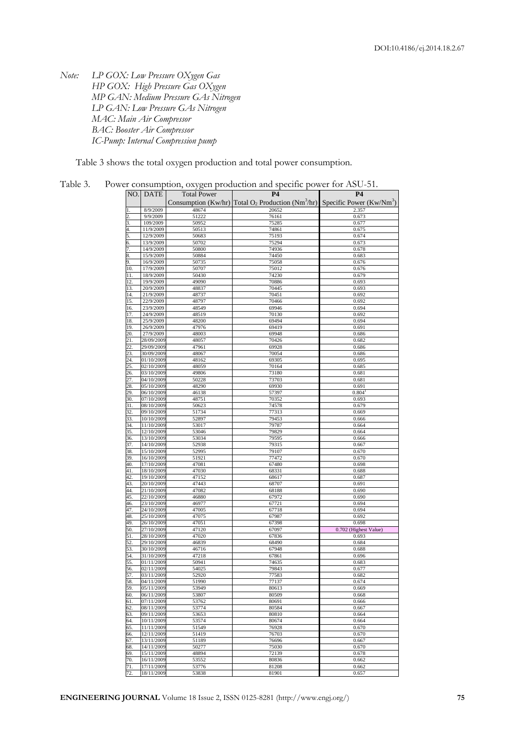*Note: LP GOX: Low Pressure OXygen Gas HP GOX: High Pressure Gas OXygen MP GAN: Medium Pressure GAs Nitrogen LP GAN: Low Pressure GAs Nitrogen MAC: Main Air Compressor BAC: Booster Air Compressor IC-Pump: Internal Compression pump*

Table 3 shows the total oxygen production and total power consumption.

Table 3. Power consumption, oxygen production and specific power for ASU-51.

| NO.        | <b>DATE</b>              | <b>Total Power</b> | <b>P4</b>                                                                                             | <b>P4</b>                      |
|------------|--------------------------|--------------------|-------------------------------------------------------------------------------------------------------|--------------------------------|
|            |                          |                    | Consumption (Kw/hr) Total $O_2$ Production (Nm <sup>3</sup> /hr) Specific Power (Kw/Nm <sup>3</sup> ) |                                |
|            | 8/9/2009                 | 48674              | 20652                                                                                                 | 2.357                          |
|            | 9/9/2009                 | 51222              | 76161                                                                                                 | 0.673                          |
|            | 109/2009                 | 50952              | 75285                                                                                                 | 0.677                          |
|            | 11/9/2009                | 50513              | 74861                                                                                                 | 0.675                          |
|            | 12/9/2009<br>13/9/2009   | 50683              | 75193                                                                                                 | 0.674                          |
|            | 14/9/2009                | 50702<br>50800     | 75294<br>74936                                                                                        | 0.673<br>0.678                 |
|            | 15/9/2009                | 50884              | 74450                                                                                                 | 0.683                          |
|            | 16/9/2009                | 50735              | 75058                                                                                                 | 0.676                          |
| 10         | 17/9/2009                | 50707              | 75012                                                                                                 | 0.676                          |
| 11         | 18/9/2009                | 50430              | 74230                                                                                                 | 0.679                          |
| 12.        | 19/9/2009                | 49090              | 70886                                                                                                 | 0.693                          |
| 13.        | 20/9/2009                | 48837              | 70445<br>70451                                                                                        | 0.693                          |
| 14.<br>15. | 21/9/2009<br>22/9/2009   | 48737<br>48797     | 70466                                                                                                 | 0.692<br>0.692                 |
| 16.        | 23/9/2009                | 48549              | 69946                                                                                                 | 0.694                          |
| 17.        | 24/9/2009                | 48519              | 70130                                                                                                 | 0.692                          |
| 18         | 25/9/2009                | 48200              | 69494                                                                                                 | 0.694                          |
| 19.        | 26/9/2009                | 47976              | 69419                                                                                                 | 0.691                          |
| 20.        | 27/9/2009                | 48003              | 69948                                                                                                 | 0.686                          |
| 21.        | 28/09/2009<br>29/09/2009 | 48057<br>47961     | 70426<br>69928                                                                                        | 0.682<br>0.686                 |
| 22<br>23.  | 30/09/2009               | 48067              | 70054                                                                                                 | 0.686                          |
| 24.        | 01/10/2009               | 48162              | 69305                                                                                                 | 0.695                          |
| 25.        | 02/10/2009               | 48059              | 70164                                                                                                 | 0.685                          |
| 26.        | 03/10/2009               | 49806              | 73180                                                                                                 | 0.681                          |
| 27.        | 04/10/2009               | 50228              | 73703                                                                                                 | 0.681                          |
| 28.        | 05/10/2009               | 48290              | 69930                                                                                                 | 0.691                          |
| 29.        | 06/10/2009               | 46138              | 57397                                                                                                 | 0.804                          |
| 30.<br>31. | 07/10/2009<br>08/10/2009 | 48751<br>50623     | 70352<br>74578                                                                                        | 0.693<br>0.679                 |
| 32.        | 09/10/2009               | 51734              | 77313                                                                                                 | 0.669                          |
| 33.        | 10/10/2009               | 52897              | 79453                                                                                                 | 0.666                          |
| 34.        | 11/10/2009               | 53017              | 79787                                                                                                 | 0.664                          |
| 35.        | 12/10/2009               | 53046              | 79829                                                                                                 | 0.664                          |
| 36.        | 13/10/2009               | 53034              | 79595                                                                                                 | 0.666                          |
| 37.<br>38. | 14/10/2009<br>15/10/2009 | 52938<br>52995     | 79315<br>79107                                                                                        | 0.667<br>0.670                 |
| 39         | 16/10/2009               | 51921              | 77472                                                                                                 | 0.670                          |
| 40.        | 17/10/2009               | 47081              | 67480                                                                                                 | 0.698                          |
| 41         | 18/10/2009               | 47030              | 68331                                                                                                 | 0.688                          |
| 42         | 19/10/2009               | 47152              | 68617                                                                                                 | 0.687                          |
| 43.        | 20/10/2009               | 47443              | 68707                                                                                                 | 0.691                          |
| 44.<br>45. | 21/10/2009<br>22/10/2009 | 47082<br>46880     | 68188<br>67972                                                                                        | 0.690<br>0.690                 |
| 46.        | 23/10/2009               | 46977              | 67721                                                                                                 | 0.694                          |
| 47.        | 24/10/2009               | 47005              | 67718                                                                                                 | 0.694                          |
| 48.        | 25/10/2009               | 47075              | 67987                                                                                                 | 0.692                          |
| 49.        | 26/10/2009               | 47051              | 67398                                                                                                 | 0.698                          |
| 50.        | 27/10/2009               | 47120              | 67097                                                                                                 | 0.702 (Highest Value)<br>0.693 |
| 51.<br>52. | 28/10/2009<br>29/10/2009 | 47020<br>46839     | 67836<br>68490                                                                                        | 0.684                          |
| 53.        | 30/10/2009               | 46716              | 67948                                                                                                 | 0.688                          |
| 54.        | 31/10/2009               | 47218              | 67861                                                                                                 | 0.696                          |
| 55.        | 01/11/2009               | 50941              | 74635                                                                                                 | 0.683                          |
| 56.        | 02/11/2009               | 54025              | 79843                                                                                                 | 0.677                          |
| 57.        | 03/11/2009               | 52920              | 77583                                                                                                 | 0.682                          |
| 58.<br>59. | 04/11/2009<br>05/11/2009 | 51990<br>53949     | 77137<br>80613                                                                                        | 0.674<br>0.669                 |
| 60.        | 06/11/2009               | 53807              | 80509                                                                                                 | 0.668                          |
| 61.        | 07/11/2009               | 53762              | 80691                                                                                                 | 0.666                          |
| 62.        | 08/11/2009               | 53774              | 80584                                                                                                 | 0.667                          |
| 63.        | 09/11/2009               | 53653              | 80810                                                                                                 | 0.664                          |
| 64.        | 10/11/2009               | 53574              | 80674                                                                                                 | 0.664                          |
| 65.        | 11/11/2009<br>12/11/2009 | 51549<br>51419     | 76928                                                                                                 | 0.670                          |
| 66.<br>67. | 13/11/2009               | 51189              | 76703<br>76696                                                                                        | 0.670<br>0.667                 |
| 68.        | 14/11/2009               | 50277              | 75030                                                                                                 | 0.670                          |
| 69.        | 15/11/2009               | 48894              | 72139                                                                                                 | 0.678                          |
| 70.        | 16/11/2009               | 53552              | 80836                                                                                                 | 0.662                          |
| 71.        | 17/11/2009               | 53776              | 81208                                                                                                 | 0.662                          |
| 72.        | 18/11/2009               | 53838              | 81901                                                                                                 | 0.657                          |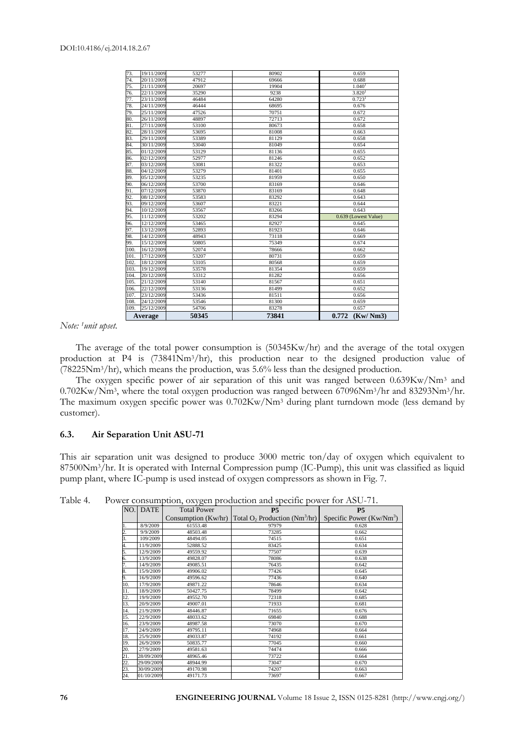| 73.  | 19/11/2009 | 53277 | 80902 | 0.659                |
|------|------------|-------|-------|----------------------|
| 74.  | 20/11/2009 | 47912 | 69666 | 0.688                |
| 75.  | 21/11/2009 | 20697 | 19904 | 1.040 <sup>1</sup>   |
| 76.  | 22/11/2009 | 35290 | 9238  | 3.820 <sup>1</sup>   |
| 77.  | 23/11/2009 | 46484 | 64280 | $0.723$ <sup>1</sup> |
| 78.  | 24/11/2009 | 46444 | 68695 | 0.676                |
| 79.  | 25/11/2009 | 47526 | 70751 | 0.672                |
| 80.  | 26/11/2009 | 48897 | 72713 | 0.672                |
| 81.  | 27/11/2009 | 53100 | 80673 | 0.658                |
| 82.  | 28/11/2009 | 53695 | 81008 | 0.663                |
| 83.  | 29/11/2009 | 53389 | 81129 | 0.658                |
| 84.  | 30/11/2009 | 53040 | 81049 | 0.654                |
| 85.  | 01/12/2009 | 53129 | 81136 | 0.655                |
| 86.  | 02/12/2009 | 52977 | 81246 | 0.652                |
| 87.  | 03/12/2009 | 53081 | 81322 | 0.653                |
| 88.  | 04/12/2009 | 53279 | 81401 | 0.655                |
| 89.  | 05/12/2009 | 53235 | 81959 | 0.650                |
| 90.  | 06/12/2009 | 53700 | 83169 | 0.646                |
| 91.  | 07/12/2009 | 53870 | 83169 | 0.648                |
| 92.  | 08/12/2009 | 53583 | 83292 | 0.643                |
| 93.  | 09/12/2009 | 53607 | 83221 | 0.644                |
| 94.  | 10/12/2009 | 53567 | 83266 | 0.643                |
| 95.  | 11/12/2009 | 53202 | 83294 | 0.639 (Lowest Value) |
| 96.  | 12/12/2009 | 53465 | 82927 | 0.645                |
| 97.  | 13/12/2009 | 52893 | 81923 | 0.646                |
| 98.  | 14/12/2009 | 48943 | 73118 | 0.669                |
| 99.  | 15/12/2009 | 50805 | 75349 | 0.674                |
| 100. | 16/12/2009 | 52074 | 78666 | 0.662                |
| 101. | 17/12/2009 | 53207 | 80731 | 0.659                |
| 102. | 18/12/2009 | 53105 | 80568 | 0.659                |
| 103. | 19/12/2009 | 53578 | 81354 | 0.659                |
| 104. | 20/12/2009 | 53312 | 81282 | 0.656                |
| 105. | 21/12/2009 | 53140 | 81567 | 0.651                |
| 106. | 22/12/2009 | 53136 | 81499 | 0.652                |
| 107. | 23/12/2009 | 53436 | 81511 | 0.656                |
| 108. | 24/12/2009 | 53546 | 81300 | 0.659                |
| 109. | 25/12/2009 | 54706 | 83278 | 0.657                |
|      | Average    | 50345 | 73841 | 0.772<br>(Kw/Nm3)    |

*Note: 1unit upset.*

The average of the total power consumption is (50345Kw/hr) and the average of the total oxygen production at P4 is (73841Nm3/hr), this production near to the designed production value of (78225Nm3/hr), which means the production, was 5.6% less than the designed production.

The oxygen specific power of air separation of this unit was ranged between 0.639Kw/Nm<sup>3</sup> and 0.702Kw/Nm<sup>3</sup>, where the total oxygen production was ranged between 67096Nm<sup>3</sup>/hr and 83293Nm<sup>3</sup>/hr. The maximum oxygen specific power was  $0.702Kw/Nm<sup>3</sup>$  during plant turndown mode (less demand by customer).

#### **6.3. Air Separation Unit ASU-71**

This air separation unit was designed to produce 3000 metric ton/day of oxygen which equivalent to 87500Nm3/hr. It is operated with Internal Compression pump (IC-Pump), this unit was classified as liquid pump plant, where IC-pump is used instead of oxygen compressors as shown in Fig. 7.

|                 |             | ,,,                   |                                              |                            |
|-----------------|-------------|-----------------------|----------------------------------------------|----------------------------|
| NO.             | <b>DATE</b> | <b>Total Power</b>    | P <sub>5</sub>                               | <b>P5</b>                  |
|                 |             | Consumption $(Kw/hr)$ | Total $O_2$ Production (Nm <sup>3</sup> /hr) | Specific Power $(Kw/Nm^3)$ |
| 1.              | 8/9/2009    | 61553.48              | 97979                                        | 0.628                      |
| $\frac{2}{3}$ . | 9/9/2009    | 48503.48              | 73285                                        | 0.662                      |
|                 | 109/2009    | 48494.05              | 74515                                        | 0.651                      |
| 4.              | 11/9/2009   | 52888.52              | 83425                                        | 0.634                      |
| 5.              | 12/9/2009   | 49559.92              | 77507                                        | 0.639                      |
| 6.              | 13/9/2009   | 49828.07              | 78086                                        | 0.638                      |
| 7.              | 14/9/2009   | 49085.51              | 76435                                        | 0.642                      |
| 8.              | 15/9/2009   | 49906.02              | 77426                                        | 0.645                      |
| 9.              | 16/9/2009   | 49596.62              | 77436                                        | 0.640                      |
| 10.             | 17/9/2009   | 49871.22              | 78646                                        | 0.634                      |
| 11.             | 18/9/2009   | 50427.75              | 78499                                        | 0.642                      |
| 12.             | 19/9/2009   | 49552.70              | 72318                                        | 0.685                      |
| 13.             | 20/9/2009   | 49007.01              | 71933                                        | 0.681                      |
| 14.             | 21/9/2009   | 48446.87              | 71655                                        | 0.676                      |
| 15.             | 22/9/2009   | 48033.62              | 69840                                        | 0.688                      |
| 16.             | 23/9/2009   | 48987.58              | 73070                                        | 0.670                      |
| 17.             | 24/9/2009   | 49795.11              | 74968                                        | 0.664                      |
| 18.             | 25/9/2009   | 49033.87              | 74192                                        | 0.661                      |
| 19.             | 26/9/2009   | 50835.77              | 77045                                        | 0.660                      |
| 20.             | 27/9/2009   | 49581.63              | 74474                                        | 0.666                      |
| 21.             | 28/09/2009  | 48965.46              | 73722                                        | 0.664                      |
| 22.             | 29/09/2009  | 48944.99              | 73047                                        | 0.670                      |
| 23.             | 30/09/2009  | 49170.98              | 74207                                        | 0.663                      |
| 24.             | 01/10/2009  | 49171.73              | 73697                                        | 0.667                      |

Table 4. Power consumption, oxygen production and specific power for ASU-71.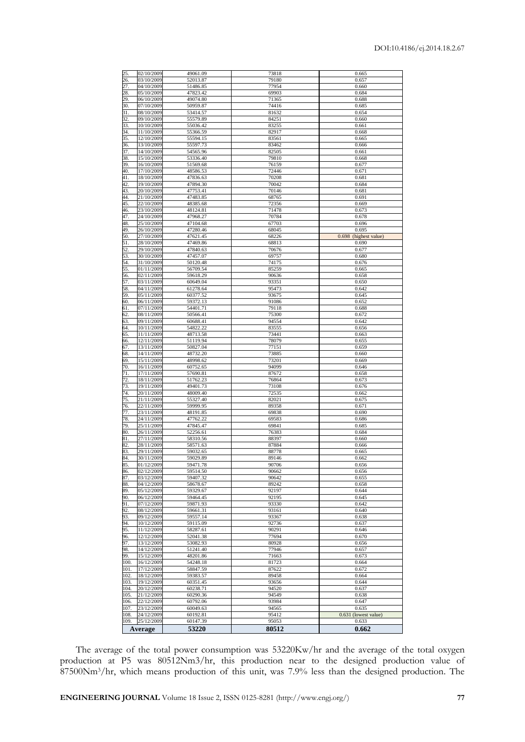|                       | <b>Average</b>           | 53220                | 80512          | 0.662                            |
|-----------------------|--------------------------|----------------------|----------------|----------------------------------|
| 108.<br>109.          | 24/12/2009<br>25/12/2009 | 60192.81<br>60147.39 | 95412<br>95053 | 0.631<br>(lowest value)<br>0.633 |
| 107.                  | 23/12/2009               | 60049.63             | 94565          | 0.635                            |
| 106.                  | 22/12/2009               | 60792.06             | 93984          | 0.647                            |
| 105.                  | 21/12/2009               | 60290.36             | 94549          | 0.638                            |
| 103.<br>104.          | 19/12/2009<br>20/12/2009 | 60351.45<br>60238.71 | 93656<br>94520 | 0.644<br>0.637                   |
| 102                   | 18/12/2009               | 59383.57             | 89458          | 0.664                            |
| 101.                  | 17/12/2009               | 58847.59             | 87622          | 0.672                            |
| 100                   | 16/12/2009               | 54248.18             | 81723          | 0.664                            |
| 98.<br>99.            | 14/12/2009<br>15/12/2009 | 51241.40<br>48201.86 | 77946<br>71663 | 0.657<br>0.673                   |
| 97.                   | 13/12/2009               | 53082.93             | 80928          | 0.656                            |
| 96.                   | 12/12/2009               | 52041.38             | 77694          | 0.670                            |
| 95.                   | $\overline{11}/12/2009$  | 58287.61             | 90291          | 0.646                            |
| 93.<br>94.            | 09/12/2009<br>10/12/2009 | 59557.14<br>59115.09 | 93367<br>92736 | 0.638<br>0.637                   |
| 92.                   | 08/12/2009               | 59661.31             | 93161          | 0.640                            |
| 91.                   | 07/12/2009               | 59871.93             | 93330          | 0.642                            |
| 89.<br>90.            | 05/12/2009<br>06/12/2009 | 59464.45             | 92197<br>92195 | 0.644<br>0.645                   |
| 88.                   | 04/12/2009               | 58678.67<br>59329.67 | 89242          | 0.658                            |
| 87.                   | 03/12/2009               | 59407.32             | 90642          | 0.655                            |
| 86.                   | 02/12/2009               | 59514.50             | 90662          | 0.656                            |
| 84.<br>$\overline{R}$ | 30/11/2009<br>01/12/2009 | 59029.89<br>59471.78 | 89146<br>90706 | 0.662<br>0.656                   |
| 83.                   | 29/11/2009               | 59032.65             | 88778          | 0.665                            |
| 82                    | 28/11/2009               | 58571.63             | 87884          | 0.666                            |
| 81.                   | 27/11/2009               | 58310.56             | 88397          | 0.660                            |
| 79<br>80.             | 25/11/2009<br>26/11/2009 | 47845.47<br>52256.61 | 76383          | 0.685<br>0.684                   |
| 78                    | 24/11/2009               | 47762.22             | 69583<br>69841 | 0.686                            |
| 77.                   | 23/11/2009               | 48191.85             | 69838          | 0.690                            |
| 76.                   | 22/11/2009               | 59999.95             | 89358          | 0.671                            |
| 74<br>75.             | 20/11/2009<br>21/11/2009 | 48009.40<br>55327.40 | 72535<br>82021 | 0.662<br>0.675                   |
| 73.                   | 19/11/2009               | 49401.73             | 73108          | 0.676                            |
| 72                    | 18/11/2009               | 51762.23             | 76864          | 0.673                            |
| 71                    | 17/11/2009               | 57690.81             | 87672          | 0.658                            |
| 70                    | 16/11/2009               | 60752.65             | 94099          | 0.646                            |
| 68<br>69              | 14/11/2009<br>15/11/2009 | 48732.20<br>48998.62 | 73885<br>73201 | 0.660<br>0.669                   |
| 67.                   | 13/11/2009               | 50827.04             | 77151          | 0.659                            |
| 66.                   | 12/11/2009               | 51119.94             | 78079          | 0.655                            |
| 65.                   | 11/11/2009               | 48713.58             | 73441          | 0.663                            |
| 63<br>64              | 09/11/2009<br>10/11/2009 | 60688.41<br>54822.22 | 94554<br>83555 | 0.642<br>0.656                   |
| 62                    | 08/11/2009               | 50566.41             | 75300          | 0.672                            |
| 61.                   | 07/11/2009               | 54401.71             | 79118          | 0.688                            |
| 60.                   | 06/11/2009               | 59372.13             | 91086          | 0.652                            |
| 59                    | 05/11/2009               | 60377.52             | 93675          | 0.645                            |
| 57.<br>58.            | 03/11/2009<br>04/11/2009 | 60649.04<br>61278.64 | 93351<br>95473 | 0.650<br>0.642                   |
| 56.                   | 02/11/2009               | 59618.29             | 90636          | 0.658                            |
| 55                    | 01/11/2009               | 56709.54             | 85259          | 0.665                            |
| 54                    | 31/10/2009               | 50120.48             | 74175          | 0.676                            |
| 52.<br>53.            | 29/10/2009<br>30/10/2009 | 47840.63<br>47457.07 | 70676<br>69757 | 0.677<br>0.680                   |
| 51.                   | 28/10/2009               | 47469.86             | 68813          | 0.690                            |
| 50.                   | 27/10/2009               | 47621.45             | 68226          | (highest value)<br>0.698         |
| 48<br>49              | 25/10/2009<br>26/10/2009 | 47104.68<br>47280.46 | 67703<br>68045 | 0.696<br>0.695                   |
| 47.                   | 24/10/2009               | 47968.27             | 70784          | 0.678                            |
| 46.                   | 23/10/2009               | 48124.81             | 71478          | 0.673                            |
| 45.                   | 22/10/2009               | 48385.68             | 72356          | 0.669                            |
| 43<br>44              | 20/10/2009<br>21/10/2009 | 47753.41<br>47483.85 | 70146<br>68765 | 0.681<br>0.691                   |
| 42                    | 19/10/2009               | 47894.30             | 70042          | 0.684                            |
| 41                    | 18/10/2009               | 47836.63             | 70208          | 0.681                            |
| 40                    | 17/10/2009               | 48586.53             | 72446          | 0.671                            |
| 38<br>39.             | 15/10/2009<br>16/10/2009 | 53336.40<br>51569.68 | 79810<br>76159 | 0.668<br>0.677                   |
| 37.                   | 14/10/2009               | 54565.96             | 82505          | 0.661                            |
| 36.                   | 13/10/2009               | 55597.73             | 83462          | 0.666                            |
| 35.                   | 12/10/2009               | 55594.15             | 83561          | 0.665                            |
| 33.<br>34             | 10/10/2009<br>11/10/2009 | 55036.42<br>55366.59 | 83255<br>82917 | 0.661<br>0.668                   |
| 32                    | 09/10/2009               | 55579.89             | 84251          | 0.660                            |
| 31.                   | 08/10/2009               | 53414.57             | 81632          | 0.654                            |
| 30.                   | 07/10/2009               | 50959.87             | 74416          | 0.685                            |
| 28<br>29              | 05/10/2009<br>06/10/2009 | 47823.42<br>49074.80 | 69903<br>71365 | 0.684<br>0.688                   |
| 27.                   | 04/10/2009               | 51486.85             | 77954          | 0.660                            |
| 26.                   | 03/10/2009               | 52013.87             | 79180          | 0.657                            |
| 25                    | 02/10/2009               | 49061.09             | 73818          | 0.665                            |

The average of the total power consumption was 53220Kw/hr and the average of the total oxygen production at P5 was 80512Nm3/hr, this production near to the designed production value of 87500Nm3/hr, which means production of this unit, was 7.9% less than the designed production. The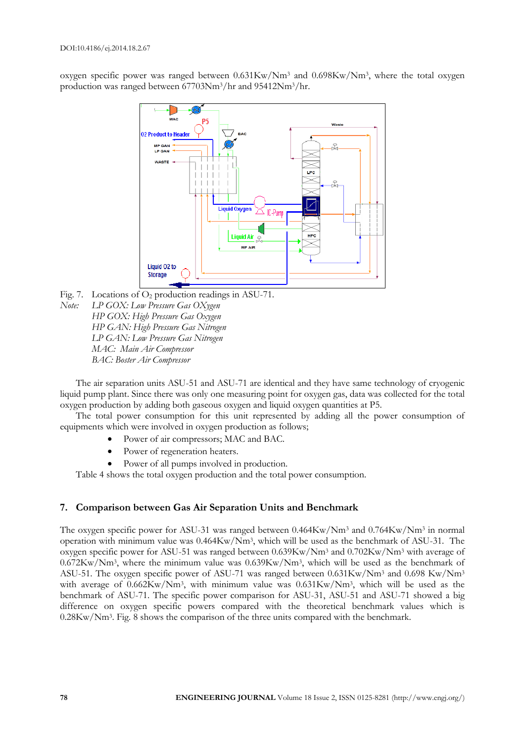oxygen specific power was ranged between 0.631Kw/Nm<sup>3</sup> and 0.698Kw/Nm<sup>3</sup>, where the total oxygen production was ranged between 67703Nm3/hr and 95412Nm3/hr.



Fig. 7. Locations of  $O_2$  production readings in ASU-71. *Note: LP GOX: Low Pressure Gas OXygen HP GOX: High Pressure Gas Oxygen HP GAN: High Pressure Gas Nitrogen LP GAN: Low Pressure Gas Nitrogen MAC: Main Air Compressor BAC: Boster Air Compressor*

The air separation units ASU-51 and ASU-71 are identical and they have same technology of cryogenic liquid pump plant. Since there was only one measuring point for oxygen gas, data was collected for the total oxygen production by adding both gaseous oxygen and liquid oxygen quantities at P5.

The total power consumption for this unit represented by adding all the power consumption of equipments which were involved in oxygen production as follows;

- Power of air compressors; MAC and BAC.
- Power of regeneration heaters.
- Power of all pumps involved in production.

Table 4 shows the total oxygen production and the total power consumption.

# **7. Comparison between Gas Air Separation Units and Benchmark**

The oxygen specific power for ASU-31 was ranged between 0.464Kw/Nm<sup>3</sup> and 0.764Kw/Nm<sup>3</sup> in normal operation with minimum value was 0.464Kw/Nm<sup>3</sup> , which will be used as the benchmark of ASU-31. The oxygen specific power for ASU-51 was ranged between 0.639Kw/Nm<sup>3</sup> and 0.702Kw/Nm<sup>3</sup> with average of 0.672Kw/Nm<sup>3</sup> , where the minimum value was 0.639Kw/Nm<sup>3</sup> , which will be used as the benchmark of ASU-51. The oxygen specific power of ASU-71 was ranged between 0.631Kw/Nm<sup>3</sup> and 0.698 Kw/Nm<sup>3</sup> with average of 0.662Kw/Nm<sup>3</sup>, with minimum value was 0.631Kw/Nm<sup>3</sup>, which will be used as the benchmark of ASU-71. The specific power comparison for ASU-31, ASU-51 and ASU-71 showed a big difference on oxygen specific powers compared with the theoretical benchmark values which is 0.28Kw/Nm<sup>3</sup> . Fig. 8 shows the comparison of the three units compared with the benchmark.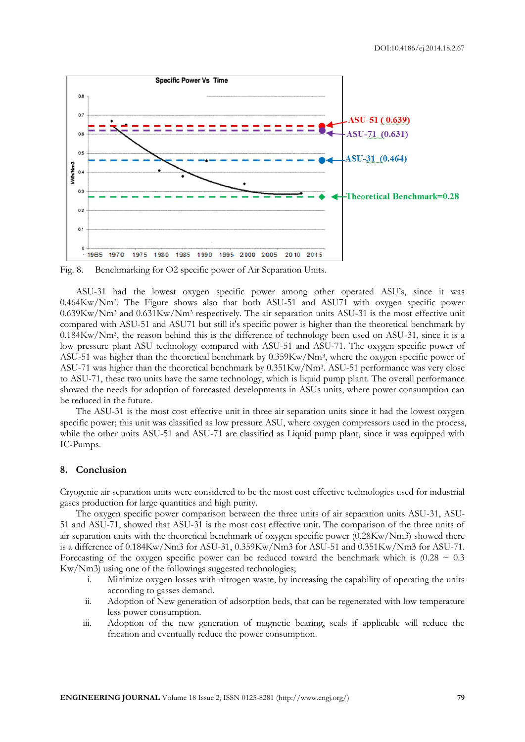

Fig. 8. Benchmarking for O2 specific power of Air Separation Units.

ASU-31 had the lowest oxygen specific power among other operated ASU's, since it was 0.464Kw/Nm<sup>3</sup> . The Figure shows also that both ASU-51 and ASU71 with oxygen specific power 0.639Kw/Nm<sup>3</sup> and 0.631Kw/Nm<sup>3</sup> respectively. The air separation units ASU-31 is the most effective unit compared with ASU-51 and ASU71 but still it's specific power is higher than the theoretical benchmark by 0.184Kw/Nm<sup>3</sup> , the reason behind this is the difference of technology been used on ASU-31, since it is a low pressure plant ASU technology compared with ASU-51 and ASU-71. The oxygen specific power of ASU-51 was higher than the theoretical benchmark by 0.359Kw/Nm<sup>3</sup> , where the oxygen specific power of ASU-71 was higher than the theoretical benchmark by 0.351Kw/Nm<sup>3</sup> . ASU-51 performance was very close to ASU-71, these two units have the same technology, which is liquid pump plant. The overall performance showed the needs for adoption of forecasted developments in ASUs units, where power consumption can be reduced in the future.

The ASU-31 is the most cost effective unit in three air separation units since it had the lowest oxygen specific power; this unit was classified as low pressure ASU, where oxygen compressors used in the process, while the other units ASU-51 and ASU-71 are classified as Liquid pump plant, since it was equipped with IC-Pumps.

## **8. Conclusion**

Cryogenic air separation units were considered to be the most cost effective technologies used for industrial gases production for large quantities and high purity.

The oxygen specific power comparison between the three units of air separation units ASU-31, ASU-51 and ASU-71, showed that ASU-31 is the most cost effective unit. The comparison of the three units of air separation units with the theoretical benchmark of oxygen specific power (0.28Kw/Nm3) showed there is a difference of 0.184Kw/Nm3 for ASU-31, 0.359Kw/Nm3 for ASU-51 and 0.351Kw/Nm3 for ASU-71. Forecasting of the oxygen specific power can be reduced toward the benchmark which is  $(0.28 \sim 0.3$ Kw/Nm3) using one of the followings suggested technologies;

- i. Minimize oxygen losses with nitrogen waste, by increasing the capability of operating the units according to gasses demand.
- ii. Adoption of New generation of adsorption beds, that can be regenerated with low temperature less power consumption.
- iii. Adoption of the new generation of magnetic bearing, seals if applicable will reduce the frication and eventually reduce the power consumption.